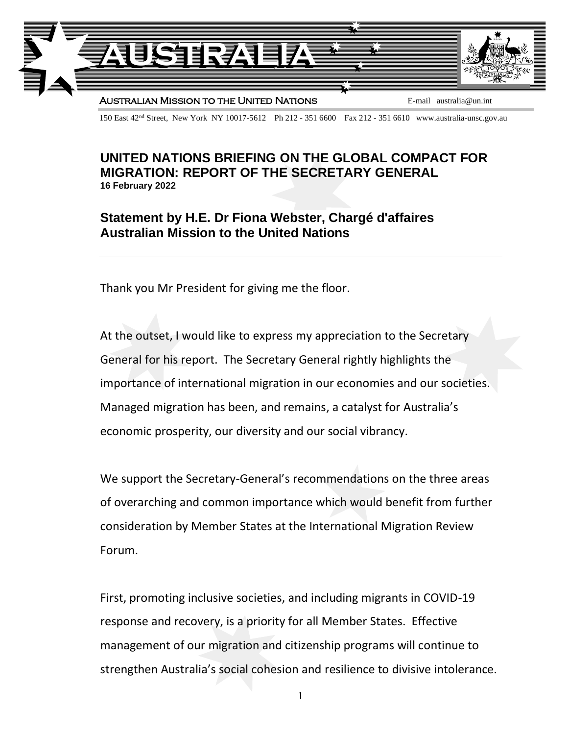

## AUSTRALIAN MISSION TO THE UNITED NATIONS THE E-mail australia@un.int

150 East 42nd Street, New York NY 10017-5612 Ph 212 - 351 6600 Fax 212 - 351 6610 www.australia-unsc.gov.au

## **UNITED NATIONS BRIEFING ON THE GLOBAL COMPACT FOR MIGRATION: REPORT OF THE SECRETARY GENERAL 16 February 2022**

## **Statement by H.E. Dr Fiona Webster, Chargé d'affaires Australian Mission to the United Nations**

Thank you Mr President for giving me the floor.

At the outset, I would like to express my appreciation to the Secretary General for his report. The Secretary General rightly highlights the importance of international migration in our economies and our societies. Managed migration has been, and remains, a catalyst for Australia's economic prosperity, our diversity and our social vibrancy.

We support the Secretary-General's recommendations on the three areas of overarching and common importance which would benefit from further consideration by Member States at the International Migration Review Forum.

First, promoting inclusive societies, and including migrants in COVID-19 response and recovery, is a priority for all Member States. Effective management of our migration and citizenship programs will continue to strengthen Australia's social cohesion and resilience to divisive intolerance.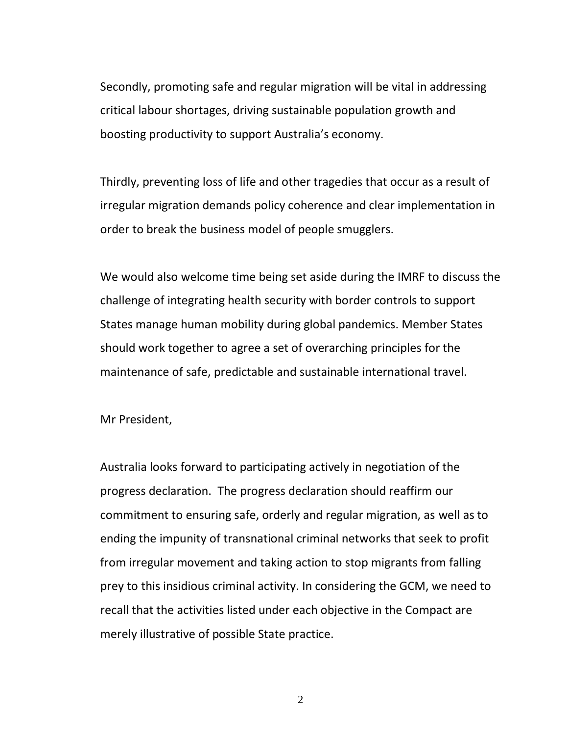Secondly, promoting safe and regular migration will be vital in addressing critical labour shortages, driving sustainable population growth and boosting productivity to support Australia's economy.

Thirdly, preventing loss of life and other tragedies that occur as a result of irregular migration demands policy coherence and clear implementation in order to break the business model of people smugglers.

We would also welcome time being set aside during the IMRF to discuss the challenge of integrating health security with border controls to support States manage human mobility during global pandemics. Member States should work together to agree a set of overarching principles for the maintenance of safe, predictable and sustainable international travel.

Mr President,

Australia looks forward to participating actively in negotiation of the progress declaration. The progress declaration should reaffirm our commitment to ensuring safe, orderly and regular migration, as well as to ending the impunity of transnational criminal networks that seek to profit from irregular movement and taking action to stop migrants from falling prey to this insidious criminal activity. In considering the GCM, we need to recall that the activities listed under each objective in the Compact are merely illustrative of possible State practice.

2